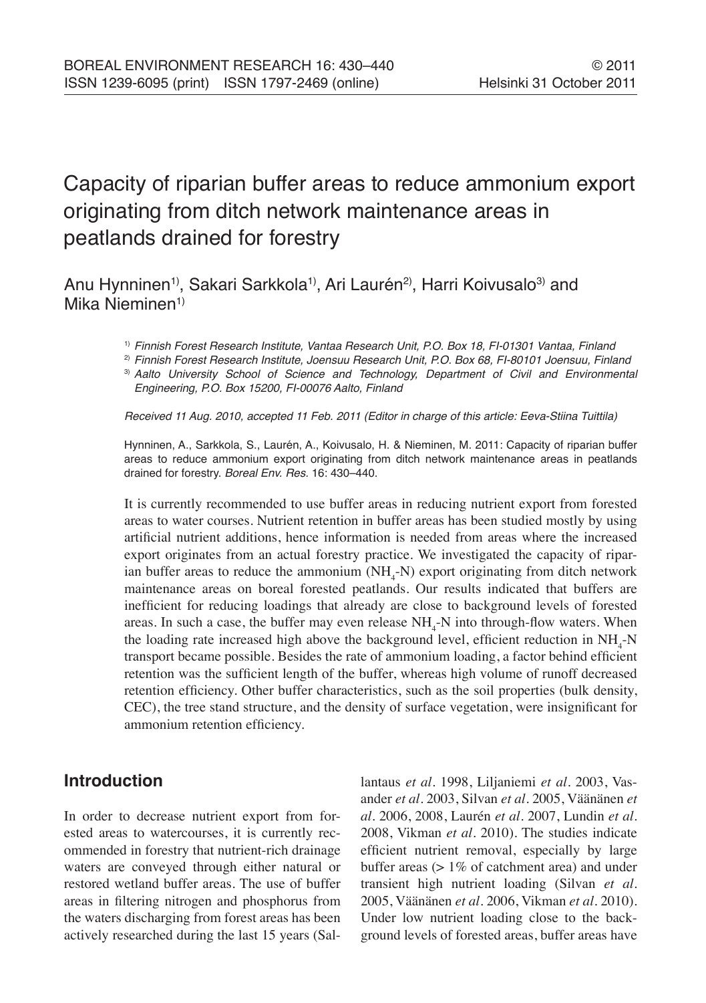# Capacity of riparian buffer areas to reduce ammonium export originating from ditch network maintenance areas in peatlands drained for forestry

Anu Hynninen<sup>1)</sup>, Sakari Sarkkola<sup>1)</sup>, Ari Laurén<sup>2)</sup>, Harri Koivusalo<sup>3)</sup> and Mika Nieminen<sup>1)</sup>

1) Finnish Forest Research Institute, Vantaa Research Unit, P.O. Box 18, FI-01301 Vantaa, Finland

<sup>2)</sup> Finnish Forest Research Institute, Joensuu Research Unit, P.O. Box 68, FI-80101 Joensuu, Finland

<sup>3)</sup> Aalto University School of Science and Technology, Department of Civil and Environmental Engineering, P.O. Box 15200, FI-00076 Aalto, Finland

Received 11 Aug. 2010, accepted 11 Feb. 2011 (Editor in charge of this article: Eeva-Stiina Tuittila)

Hynninen, A., Sarkkola, S., Laurén, A., Koivusalo, H. & Nieminen, M. 2011: Capacity of riparian buffer areas to reduce ammonium export originating from ditch network maintenance areas in peatlands drained for forestry. Boreal Env. Res. 16: 430–440.

It is currently recommended to use buffer areas in reducing nutrient export from forested areas to water courses. Nutrient retention in buffer areas has been studied mostly by using artificial nutrient additions, hence information is needed from areas where the increased export originates from an actual forestry practice. We investigated the capacity of riparian buffer areas to reduce the ammonium  $(NH_4-N)$  export originating from ditch network maintenance areas on boreal forested peatlands. Our results indicated that buffers are inefficient for reducing loadings that already are close to background levels of forested areas. In such a case, the buffer may even release  $NH_4$ -N into through-flow waters. When the loading rate increased high above the background level, efficient reduction in  $NH_{4}$ -N transport became possible. Besides the rate of ammonium loading, a factor behind efficient retention was the sufficient length of the buffer, whereas high volume of runoff decreased retention efficiency. Other buffer characteristics, such as the soil properties (bulk density, CEC), the tree stand structure, and the density of surface vegetation, were insignificant for ammonium retention efficiency.

# **Introduction**

In order to decrease nutrient export from forested areas to watercourses, it is currently recommended in forestry that nutrient-rich drainage waters are conveyed through either natural or restored wetland buffer areas. The use of buffer areas in filtering nitrogen and phosphorus from the waters discharging from forest areas has been actively researched during the last 15 years (Sallantaus *et al.* 1998, Liljaniemi *et al.* 2003, Vasander *et al.* 2003, Silvan *et al*. 2005, Väänänen *et al.* 2006, 2008, Laurén *et al.* 2007, Lundin *et al.* 2008, Vikman *et al.* 2010). The studies indicate efficient nutrient removal, especially by large buffer areas  $(> 1\%$  of catchment area) and under transient high nutrient loading (Silvan *et al.* 2005, Väänänen *et al.* 2006, Vikman *et al.* 2010). Under low nutrient loading close to the background levels of forested areas, buffer areas have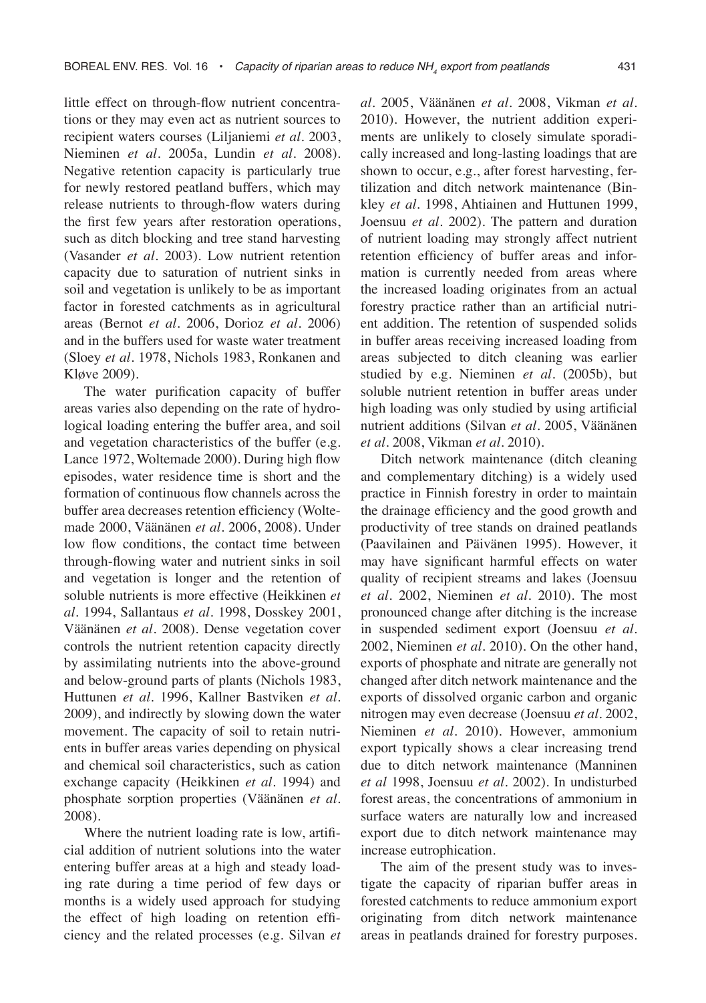little effect on through-flow nutrient concentrations or they may even act as nutrient sources to recipient waters courses (Liljaniemi *et al.* 2003, Nieminen *et al.* 2005a, Lundin *et al.* 2008). Negative retention capacity is particularly true for newly restored peatland buffers, which may release nutrients to through-flow waters during the first few years after restoration operations, such as ditch blocking and tree stand harvesting (Vasander *et al.* 2003). Low nutrient retention capacity due to saturation of nutrient sinks in soil and vegetation is unlikely to be as important factor in forested catchments as in agricultural areas (Bernot *et al.* 2006, Dorioz *et al.* 2006) and in the buffers used for waste water treatment (Sloey *et al.* 1978, Nichols 1983, Ronkanen and Kløve 2009).

The water purification capacity of buffer areas varies also depending on the rate of hydrological loading entering the buffer area, and soil and vegetation characteristics of the buffer (e.g. Lance 1972, Woltemade 2000). During high flow episodes, water residence time is short and the formation of continuous flow channels across the buffer area decreases retention efficiency (Woltemade 2000, Väänänen *et al*. 2006, 2008). Under low flow conditions, the contact time between through-flowing water and nutrient sinks in soil and vegetation is longer and the retention of soluble nutrients is more effective (Heikkinen *et al*. 1994, Sallantaus *et al*. 1998, Dosskey 2001, Väänänen *et al*. 2008). Dense vegetation cover controls the nutrient retention capacity directly by assimilating nutrients into the above-ground and below-ground parts of plants (Nichols 1983, Huttunen *et al*. 1996, Kallner Bastviken *et al*. 2009), and indirectly by slowing down the water movement. The capacity of soil to retain nutrients in buffer areas varies depending on physical and chemical soil characteristics, such as cation exchange capacity (Heikkinen *et al*. 1994) and phosphate sorption properties (Väänänen *et al*. 2008).

Where the nutrient loading rate is low, artificial addition of nutrient solutions into the water entering buffer areas at a high and steady loading rate during a time period of few days or months is a widely used approach for studying the effect of high loading on retention efficiency and the related processes (e.g. Silvan *et*  *al.* 2005, Väänänen *et al.* 2008, Vikman *et al.* 2010). However, the nutrient addition experiments are unlikely to closely simulate sporadically increased and long-lasting loadings that are shown to occur, e.g., after forest harvesting, fertilization and ditch network maintenance (Binkley *et al.* 1998, Ahtiainen and Huttunen 1999, Joensuu *et al.* 2002). The pattern and duration of nutrient loading may strongly affect nutrient retention efficiency of buffer areas and information is currently needed from areas where the increased loading originates from an actual forestry practice rather than an artificial nutrient addition. The retention of suspended solids in buffer areas receiving increased loading from areas subjected to ditch cleaning was earlier studied by e.g. Nieminen *et al.* (2005b), but soluble nutrient retention in buffer areas under high loading was only studied by using artificial nutrient additions (Silvan *et al.* 2005, Väänänen *et al.* 2008, Vikman *et al.* 2010).

Ditch network maintenance (ditch cleaning and complementary ditching) is a widely used practice in Finnish forestry in order to maintain the drainage efficiency and the good growth and productivity of tree stands on drained peatlands (Paavilainen and Päivänen 1995). However, it may have significant harmful effects on water quality of recipient streams and lakes (Joensuu *et al*. 2002, Nieminen *et al*. 2010). The most pronounced change after ditching is the increase in suspended sediment export (Joensuu *et al*. 2002, Nieminen *et al*. 2010). On the other hand, exports of phosphate and nitrate are generally not changed after ditch network maintenance and the exports of dissolved organic carbon and organic nitrogen may even decrease (Joensuu *et al*. 2002, Nieminen *et al*. 2010). However, ammonium export typically shows a clear increasing trend due to ditch network maintenance (Manninen *et al* 1998, Joensuu *et al*. 2002). In undisturbed forest areas, the concentrations of ammonium in surface waters are naturally low and increased export due to ditch network maintenance may increase eutrophication.

The aim of the present study was to investigate the capacity of riparian buffer areas in forested catchments to reduce ammonium export originating from ditch network maintenance areas in peatlands drained for forestry purposes.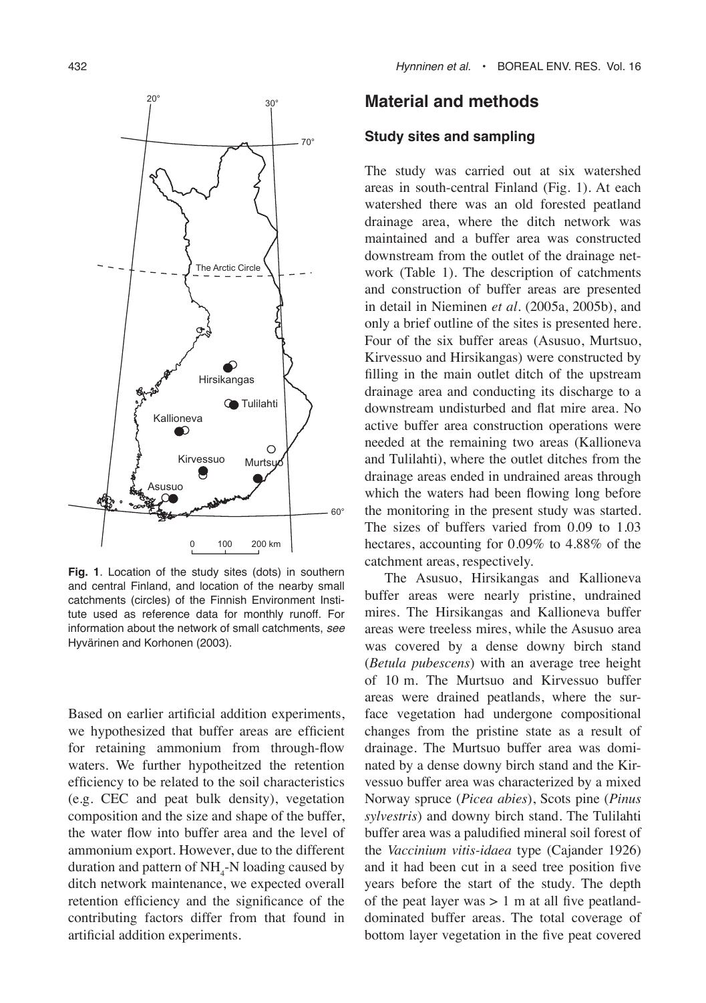

**Fig. 1**. Location of the study sites (dots) in southern and central Finland, and location of the nearby small catchments (circles) of the Finnish Environment Institute used as reference data for monthly runoff. For information about the network of small catchments, see Hyvärinen and Korhonen (2003).

Based on earlier artificial addition experiments, we hypothesized that buffer areas are efficient for retaining ammonium from through-flow waters. We further hypotheitzed the retention efficiency to be related to the soil characteristics (e.g. CEC and peat bulk density), vegetation composition and the size and shape of the buffer, the water flow into buffer area and the level of ammonium export. However, due to the different duration and pattern of  $NH_4$ -N loading caused by ditch network maintenance, we expected overall retention efficiency and the significance of the contributing factors differ from that found in artificial addition experiments.

# **Material and methods**

#### **Study sites and sampling**

The study was carried out at six watershed areas in south-central Finland (Fig. 1). At each watershed there was an old forested peatland drainage area, where the ditch network was maintained and a buffer area was constructed downstream from the outlet of the drainage network (Table 1). The description of catchments and construction of buffer areas are presented in detail in Nieminen *et al.* (2005a, 2005b), and only a brief outline of the sites is presented here. Four of the six buffer areas (Asusuo, Murtsuo, Kirvessuo and Hirsikangas) were constructed by filling in the main outlet ditch of the upstream drainage area and conducting its discharge to a downstream undisturbed and flat mire area. No active buffer area construction operations were needed at the remaining two areas (Kallioneva and Tulilahti), where the outlet ditches from the drainage areas ended in undrained areas through which the waters had been flowing long before the monitoring in the present study was started. The sizes of buffers varied from 0.09 to 1.03 hectares, accounting for 0.09% to 4.88% of the catchment areas, respectively.

The Asusuo, Hirsikangas and Kallioneva buffer areas were nearly pristine, undrained mires. The Hirsikangas and Kallioneva buffer areas were treeless mires, while the Asusuo area was covered by a dense downy birch stand (*Betula pubescens*) with an average tree height of 10 m. The Murtsuo and Kirvessuo buffer areas were drained peatlands, where the surface vegetation had undergone compositional changes from the pristine state as a result of drainage. The Murtsuo buffer area was dominated by a dense downy birch stand and the Kirvessuo buffer area was characterized by a mixed Norway spruce (*Picea abies*), Scots pine (*Pinus sylvestris*) and downy birch stand. The Tulilahti buffer area was a paludified mineral soil forest of the *Vaccinium vitis-idaea* type (Cajander 1926) and it had been cut in a seed tree position five years before the start of the study. The depth of the peat layer was  $> 1$  m at all five peatlanddominated buffer areas. The total coverage of bottom layer vegetation in the five peat covered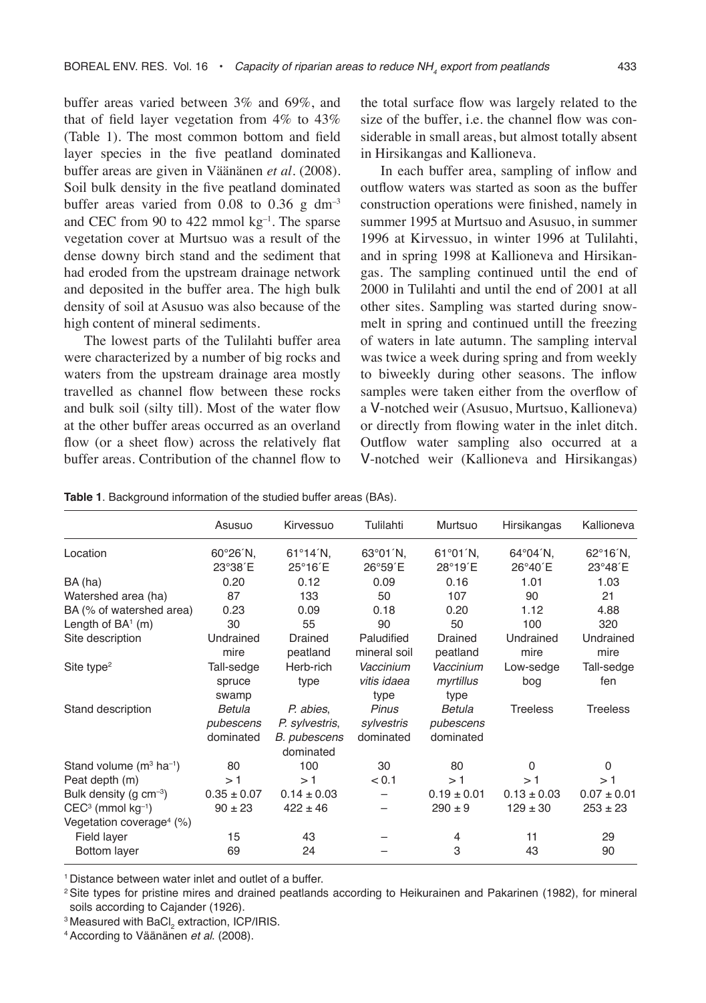buffer areas varied between 3% and 69%, and that of field layer vegetation from 4% to 43% (Table 1). The most common bottom and field layer species in the five peatland dominated buffer areas are given in Väänänen *et al*. (2008). Soil bulk density in the five peatland dominated buffer areas varied from  $0.08$  to  $0.36$  g dm<sup>-3</sup> and CEC from 90 to 422 mmol  $kg^{-1}$ . The sparse vegetation cover at Murtsuo was a result of the dense downy birch stand and the sediment that had eroded from the upstream drainage network and deposited in the buffer area. The high bulk density of soil at Asusuo was also because of the high content of mineral sediments.

The lowest parts of the Tulilahti buffer area were characterized by a number of big rocks and waters from the upstream drainage area mostly travelled as channel flow between these rocks and bulk soil (silty till). Most of the water flow at the other buffer areas occurred as an overland flow (or a sheet flow) across the relatively flat buffer areas. Contribution of the channel flow to

the total surface flow was largely related to the size of the buffer, i.e. the channel flow was considerable in small areas, but almost totally absent in Hirsikangas and Kallioneva.

In each buffer area, sampling of inflow and outflow waters was started as soon as the buffer construction operations were finished, namely in summer 1995 at Murtsuo and Asusuo, in summer 1996 at Kirvessuo, in winter 1996 at Tulilahti, and in spring 1998 at Kallioneva and Hirsikangas. The sampling continued until the end of 2000 in Tulilahti and until the end of 2001 at all other sites. Sampling was started during snowmelt in spring and continued untill the freezing of waters in late autumn. The sampling interval was twice a week during spring and from weekly to biweekly during other seasons. The inflow samples were taken either from the overflow of a V-notched weir (Asusuo, Murtsuo, Kallioneva) or directly from flowing water in the inlet ditch. Outflow water sampling also occurred at a V-notched weir (Kallioneva and Hirsikangas)

**Table 1**. Background information of the studied buffer areas (BAs).

|                                      | Asusuo                     | Kirvessuo                  | Tulilahti                  | Murtsuo                    | Hirsikangas                | Kallioneva                 |
|--------------------------------------|----------------------------|----------------------------|----------------------------|----------------------------|----------------------------|----------------------------|
| Location                             | $60^{\circ}26^{\prime}$ N, | $61^{\circ}14^{\prime}$ N, | $63^{\circ}01^{\prime}N$ , | $61^{\circ}01^{\prime}N$ , | $64^{\circ}04^{\prime}N$ , | $62^{\circ}16^{\prime}$ N, |
|                                      | 23°38'E                    | $25^{\circ}16$ E           | 26°59'E                    | 28°19'E                    | $26^{\circ}40'$ E          | 23°48'E                    |
| BA (ha)                              | 0.20                       | 0.12                       | 0.09                       | 0.16                       | 1.01                       | 1.03                       |
| Watershed area (ha)                  | 87                         | 133                        | 50                         | 107                        | 90                         | 21                         |
| BA (% of watershed area)             | 0.23                       | 0.09                       | 0.18                       | 0.20                       | 1.12                       | 4.88                       |
| Length of $BA^1$ (m)                 | 30                         | 55                         | 90                         | 50                         | 100                        | 320                        |
| Site description                     | Undrained                  | Drained                    | Paludified                 | Drained                    | Undrained                  | Undrained                  |
|                                      | mire                       | peatland                   | mineral soil               | peatland                   | mire                       | mire                       |
| Site type $2$                        | Tall-sedge                 | Herb-rich                  | Vaccinium                  | Vaccinium                  | Low-sedge                  | Tall-sedge                 |
|                                      | spruce                     | type                       | vitis idaea                | myrtillus                  | bog                        | fen                        |
|                                      | swamp                      |                            | type                       | type                       |                            |                            |
| Stand description                    | Betula                     | P. abies,                  | <b>Pinus</b>               | Betula                     | <b>Treeless</b>            | <b>Treeless</b>            |
|                                      | pubescens                  | P. sylvestris,             | sylvestris                 | pubescens                  |                            |                            |
|                                      | dominated                  | <b>B.</b> pubescens        | dominated                  | dominated                  |                            |                            |
|                                      |                            | dominated                  |                            |                            |                            |                            |
| Stand volume $(m^3 \text{ ha}^{-1})$ | 80                         | 100                        | 30                         | 80                         | $\Omega$                   | $\Omega$                   |
| Peat depth (m)                       | >1                         | >1                         | < 0.1                      | >1                         | >1                         | >1                         |
| Bulk density (g $cm^{-3}$ )          | $0.35 \pm 0.07$            | $0.14 \pm 0.03$            |                            | $0.19 \pm 0.01$            | $0.13 \pm 0.03$            | $0.07 \pm 0.01$            |
| $CEC3$ (mmol kg <sup>-1</sup> )      | $90 \pm 23$                | $422 \pm 46$               |                            | $290 \pm 9$                | $129 \pm 30$               | $253 \pm 23$               |
| Vegetation coverage <sup>4</sup> (%) |                            |                            |                            |                            |                            |                            |
| Field layer                          | 15                         | 43                         |                            | 4                          | 11                         | 29                         |
| Bottom layer                         | 69                         | 24                         |                            | 3                          | 43                         | 90                         |

<sup>1</sup> Distance between water inlet and outlet of a buffer.

2 Site types for pristine mires and drained peatlands according to Heikurainen and Pakarinen (1982), for mineral soils according to Cajander (1926).

 $^3$ Measured with BaCl $_2$  extraction, ICP/IRIS.

<sup>4</sup> According to Väänänen *et al*. (2008).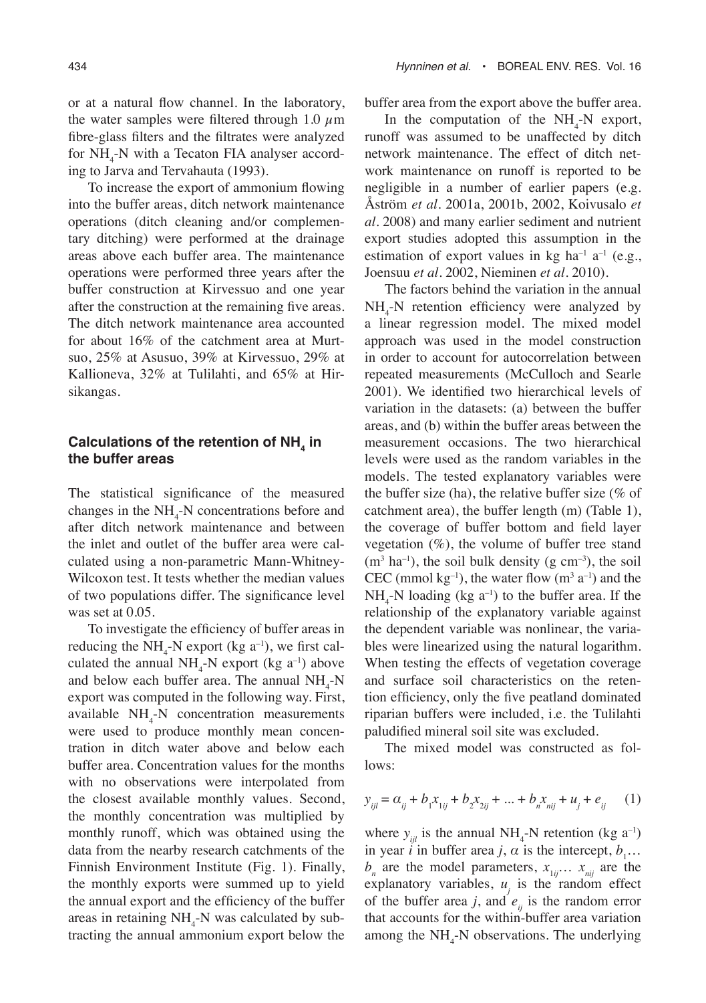or at a natural flow channel. In the laboratory, the water samples were filtered through 1.0  $\mu$ m fibre-glass filters and the filtrates were analyzed for  $NH_{4}$ -N with a Tecaton FIA analyser according to Jarva and Tervahauta (1993).

To increase the export of ammonium flowing into the buffer areas, ditch network maintenance operations (ditch cleaning and/or complementary ditching) were performed at the drainage areas above each buffer area. The maintenance operations were performed three years after the buffer construction at Kirvessuo and one year after the construction at the remaining five areas. The ditch network maintenance area accounted for about 16% of the catchment area at Murtsuo, 25% at Asusuo, 39% at Kirvessuo, 29% at Kallioneva, 32% at Tulilahti, and 65% at Hirsikangas.

#### **Calculations of the retention of**  $NH<sub>4</sub>$  **in the buffer areas**

The statistical significance of the measured changes in the  $NH_4$ -N concentrations before and after ditch network maintenance and between the inlet and outlet of the buffer area were calculated using a non-parametric Mann-Whitney-Wilcoxon test. It tests whether the median values of two populations differ. The significance level was set at 0.05.

To investigate the efficiency of buffer areas in reducing the  $NH_4$ -N export (kg a<sup>-1</sup>), we first calculated the annual  $NH_{4}$ -N export (kg a<sup>-1</sup>) above and below each buffer area. The annual  $NH_{4}$ -N export was computed in the following way. First, available  $NH_{4}$ -N concentration measurements were used to produce monthly mean concentration in ditch water above and below each buffer area. Concentration values for the months with no observations were interpolated from the closest available monthly values. Second, the monthly concentration was multiplied by monthly runoff, which was obtained using the data from the nearby research catchments of the Finnish Environment Institute (Fig. 1). Finally, the monthly exports were summed up to yield the annual export and the efficiency of the buffer areas in retaining  $NH_4$ -N was calculated by subtracting the annual ammonium export below the

buffer area from the export above the buffer area.

In the computation of the  $NH_4$ -N export, runoff was assumed to be unaffected by ditch network maintenance. The effect of ditch network maintenance on runoff is reported to be negligible in a number of earlier papers (e.g. Åström *et al.* 2001a, 2001b, 2002, Koivusalo *et al.* 2008) and many earlier sediment and nutrient export studies adopted this assumption in the estimation of export values in kg ha<sup>-1</sup> a<sup>-1</sup> (e.g., Joensuu *et al.* 2002, Nieminen *et al.* 2010).

The factors behind the variation in the annual  $NH_{4}$ -N retention efficiency were analyzed by a linear regression model. The mixed model approach was used in the model construction in order to account for autocorrelation between repeated measurements (McCulloch and Searle 2001). We identified two hierarchical levels of variation in the datasets: (a) between the buffer areas, and (b) within the buffer areas between the measurement occasions. The two hierarchical levels were used as the random variables in the models. The tested explanatory variables were the buffer size (ha), the relative buffer size ( $\%$  of catchment area), the buffer length (m) (Table 1), the coverage of buffer bottom and field layer vegetation  $(\%)$ , the volume of buffer tree stand  $(m<sup>3</sup> ha<sup>-1</sup>)$ , the soil bulk density (g cm<sup>-3</sup>), the soil CEC (mmol  $kg^{-1}$ ), the water flow (m<sup>3</sup> a<sup>-1</sup>) and the  $NH_{4}$ -N loading (kg a<sup>-1</sup>) to the buffer area. If the relationship of the explanatory variable against the dependent variable was nonlinear, the variables were linearized using the natural logarithm. When testing the effects of vegetation coverage and surface soil characteristics on the retention efficiency, only the five peatland dominated riparian buffers were included, i.e. the Tulilahti paludified mineral soil site was excluded.

The mixed model was constructed as follows:

$$
y_{ijl} = \alpha_{ij} + b_1 x_{1ij} + b_2 x_{2ij} + \dots + b_n x_{nij} + u_j + e_{ij} \tag{1}
$$

where  $y_{ijl}$  is the annual NH<sub>4</sub>-N retention (kg a<sup>-1</sup>) in year *i* in buffer area *j*,  $\alpha$  is the intercept,  $b_1$ ...  $b_n$  are the model parameters,  $x_{1ij}$ …  $x_{nij}$  are the explanatory variables,  $u_j$  is the random effect of the buffer area *j*, and  $e_{ii}$  is the random error that accounts for the within-buffer area variation among the  $NH_{4}$ -N observations. The underlying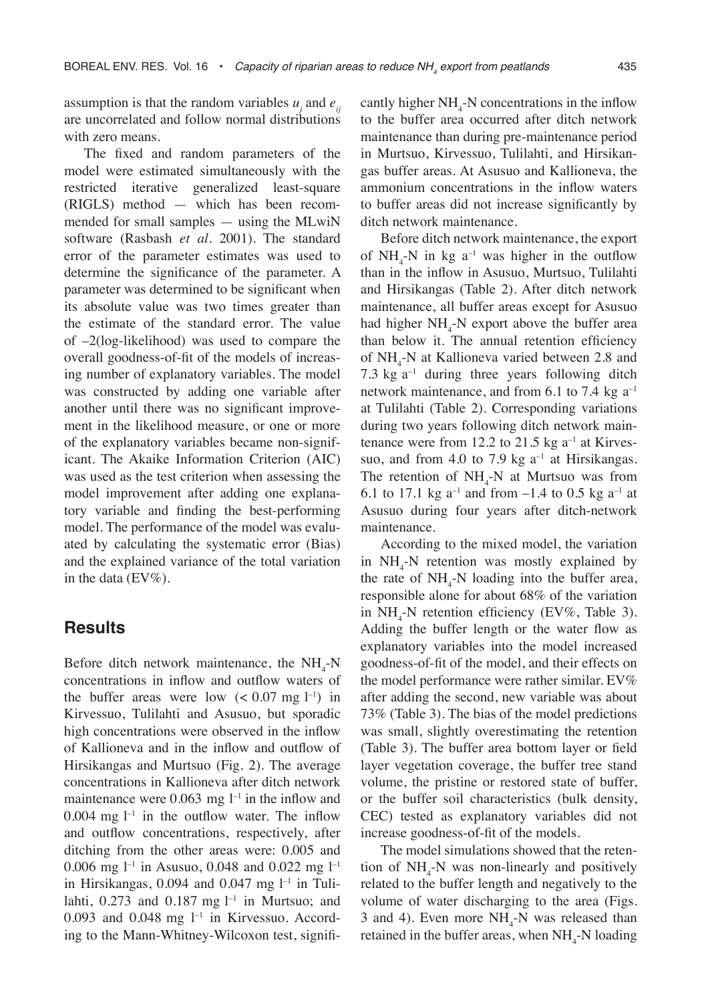assumption is that the random variables  $u_j$  and  $e_{ij}$ are uncorrelated and follow normal distributions with zero means.

The fixed and random parameters of the model were estimated simultaneously with the restricted iterative generalized least-square (RIGLS) method — which has been recommended for small samples — using the MLwiN software (Rasbash *et al.* 2001). The standard error of the parameter estimates was used to determine the significance of the parameter. A parameter was determined to be significant when its absolute value was two times greater than the estimate of the standard error. The value of –2(log-likelihood) was used to compare the overall goodness-of-fit of the models of increasing number of explanatory variables. The model was constructed by adding one variable after another until there was no significant improvement in the likelihood measure, or one or more of the explanatory variables became non-significant. The Akaike Information Criterion (AIC) was used as the test criterion when assessing the model improvement after adding one explanatory variable and finding the best-performing model. The performance of the model was evaluated by calculating the systematic error (Bias) and the explained variance of the total variation in the data ( $EV\%$ ).

## **Results**

Before ditch network maintenance, the  $NH_{4}$ -N concentrations in inflow and outflow waters of the buffer areas were low  $(< 0.07$  mg l<sup>-1</sup>) in Kirvessuo, Tulilahti and Asusuo, but sporadic high concentrations were observed in the inflow of Kallioneva and in the inflow and outflow of Hirsikangas and Murtsuo (Fig. 2). The average concentrations in Kallioneva after ditch network maintenance were  $0.063$  mg  $l<sup>-1</sup>$  in the inflow and  $0.004 \text{ mg }$  l<sup>-1</sup> in the outflow water. The inflow and outflow concentrations, respectively, after ditching from the other areas were: 0.005 and 0.006 mg  $l^{-1}$  in Asusuo, 0.048 and 0.022 mg  $l^{-1}$ in Hirsikangas,  $0.094$  and  $0.047$  mg  $l<sup>-1</sup>$  in Tulilahti,  $0.273$  and  $0.187$  mg  $l<sup>-1</sup>$  in Murtsuo; and 0.093 and 0.048 mg  $l^{-1}$  in Kirvessuo. According to the Mann-Whitney-Wilcoxon test, signifi-

cantly higher  $NH_4$ -N concentrations in the inflow to the buffer area occurred after ditch network maintenance than during pre-maintenance period in Murtsuo, Kirvessuo, Tulilahti, and Hirsikangas buffer areas. At Asusuo and Kallioneva, the ammonium concentrations in the inflow waters to buffer areas did not increase significantly by ditch network maintenance.

Before ditch network maintenance, the export of  $NH_4$ -N in kg a<sup>-1</sup> was higher in the outflow than in the inflow in Asusuo, Murtsuo, Tulilahti and Hirsikangas (Table 2). After ditch network maintenance, all buffer areas except for Asusuo had higher  $NH_{4}$ -N export above the buffer area than below it. The annual retention efficiency of  $NH_{4}$ -N at Kallioneva varied between 2.8 and 7.3 kg  $a^{-1}$  during three years following ditch network maintenance, and from 6.1 to 7.4 kg a–1 at Tulilahti (Table 2). Corresponding variations during two years following ditch network maintenance were from 12.2 to 21.5 kg  $a^{-1}$  at Kirvessuo, and from 4.0 to 7.9 kg  $a^{-1}$  at Hirsikangas. The retention of  $NH_4$ -N at Murtsuo was from 6.1 to 17.1 kg  $a^{-1}$  and from  $-1.4$  to 0.5 kg  $a^{-1}$  at Asusuo during four years after ditch-network maintenance.

According to the mixed model, the variation in  $NH<sub>4</sub>-N$  retention was mostly explained by the rate of  $NH_4$ -N loading into the buffer area, responsible alone for about 68% of the variation in  $NH_{4}$ -N retention efficiency (EV%, Table 3). Adding the buffer length or the water flow as explanatory variables into the model increased goodness-of-fit of the model, and their effects on the model performance were rather similar. EV% after adding the second, new variable was about 73% (Table 3). The bias of the model predictions was small, slightly overestimating the retention (Table 3). The buffer area bottom layer or field layer vegetation coverage, the buffer tree stand volume, the pristine or restored state of buffer, or the buffer soil characteristics (bulk density, CEC) tested as explanatory variables did not increase goodness-of-fit of the models.

The model simulations showed that the retention of  $NH_4$ -N was non-linearly and positively related to the buffer length and negatively to the volume of water discharging to the area (Figs. 3 and 4). Even more  $NH_4$ -N was released than retained in the buffer areas, when  $NH_{4}$ -N loading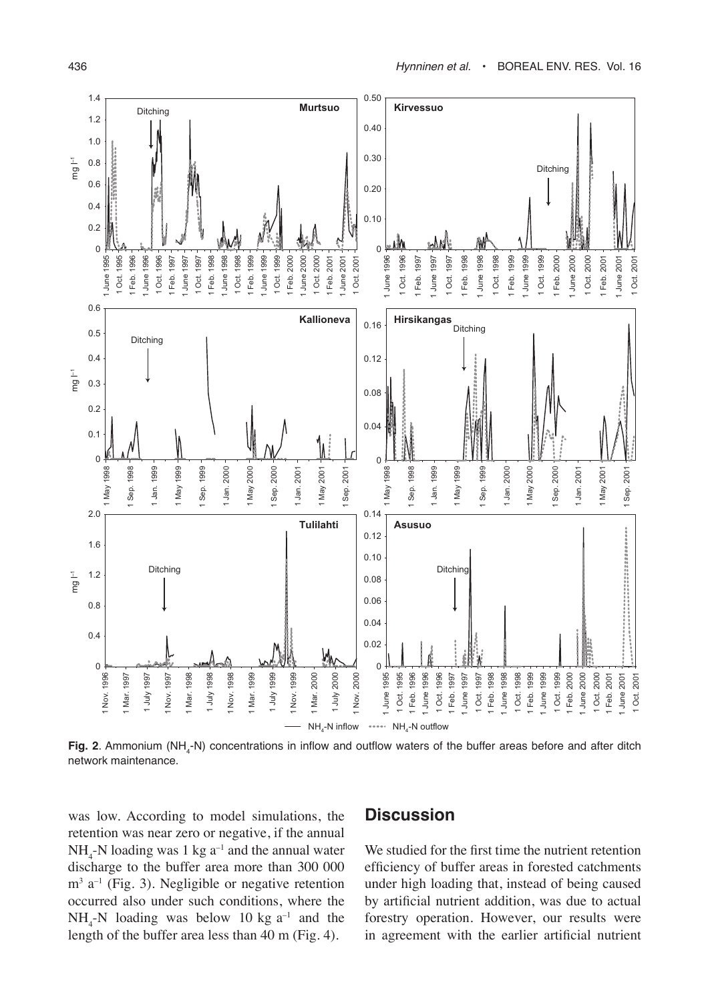

**Fig. 2**. Ammonium (NH<sub>4</sub>-N) concentrations in inflow and outflow waters of the buffer areas before and after ditch network maintenance.

was low. According to model simulations, the retention was near zero or negative, if the annual  $NH_{4}$ -N loading was 1 kg a<sup>-1</sup> and the annual water discharge to the buffer area more than 300 000  $m<sup>3</sup> a<sup>-1</sup>$  (Fig. 3). Negligible or negative retention occurred also under such conditions, where the  $NH_{4}$ -N loading was below 10 kg a<sup>-1</sup> and the length of the buffer area less than 40 m (Fig. 4).

## **Discussion**

We studied for the first time the nutrient retention efficiency of buffer areas in forested catchments under high loading that, instead of being caused by artificial nutrient addition, was due to actual forestry operation. However, our results were in agreement with the earlier artificial nutrient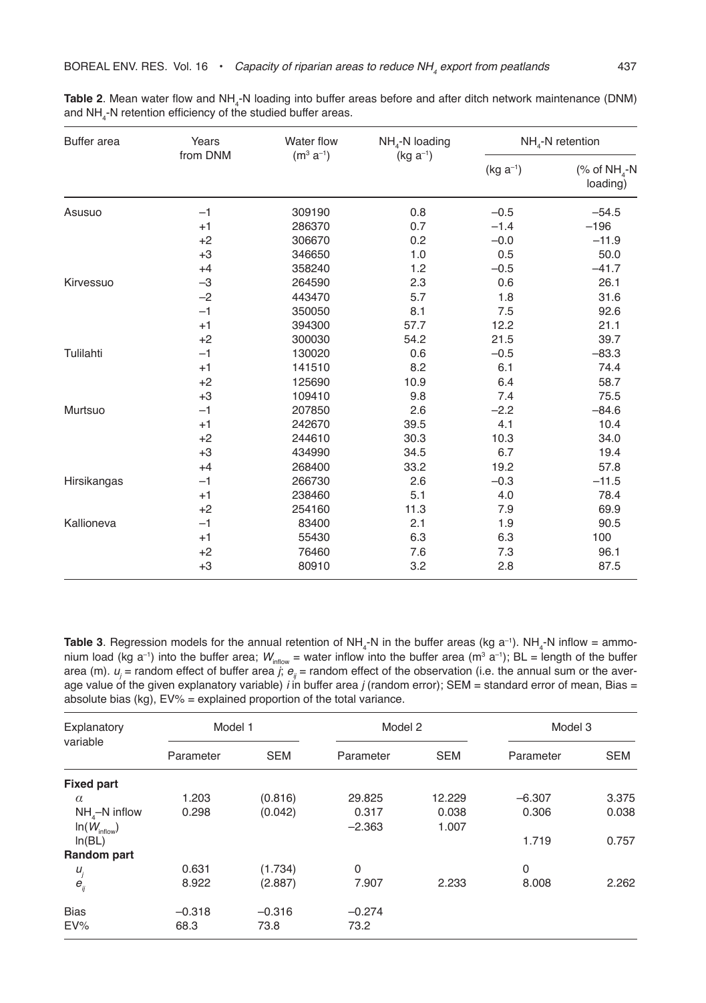| Buffer area | Years<br>from DNM      | Water flow<br>$(m^3 a^{-1})$ | $NH_{4}$ -N loading<br>$(kg a^{-1})$ | $NH_{4}$ -N retention |                               |
|-------------|------------------------|------------------------------|--------------------------------------|-----------------------|-------------------------------|
|             |                        |                              |                                      | $(kg a^{-1})$         | (% of $NH_{4}$ -N<br>loading) |
| Asusuo      | $-1$                   | 309190                       | 0.8                                  | $-0.5$                | $-54.5$                       |
|             | $+1$                   | 286370                       | 0.7                                  | $-1.4$                | $-196$                        |
|             | $+2$                   | 306670                       | 0.2                                  | $-0.0$                | $-11.9$                       |
|             | $+3$                   | 346650                       | 1.0                                  | 0.5                   | 50.0                          |
|             | $+4$                   | 358240                       | 1.2                                  | $-0.5$                | $-41.7$                       |
| Kirvessuo   | $-3$                   | 264590                       | 2.3                                  | 0.6                   | 26.1                          |
|             | $-2$                   | 443470                       | 5.7                                  | 1.8                   | 31.6                          |
|             | $-1$                   | 350050                       | 8.1                                  | 7.5                   | 92.6                          |
|             | $+1$                   | 394300                       | 57.7                                 | 12.2                  | 21.1                          |
|             | $+2$                   | 300030                       | 54.2                                 | 21.5                  | 39.7                          |
| Tulilahti   | $-1$                   | 130020                       | 0.6                                  | $-0.5$                | $-83.3$                       |
|             | $+1$                   | 141510                       | 8.2                                  | 6.1                   | 74.4                          |
|             | $+2$                   | 125690                       | 10.9                                 | 6.4                   | 58.7                          |
|             | $+3$                   | 109410                       | 9.8                                  | 7.4                   | 75.5                          |
| Murtsuo     | $-1$                   | 207850                       | 2.6                                  | $-2.2$                | $-84.6$                       |
|             | $+1$                   | 242670                       | 39.5                                 | 4.1                   | 10.4                          |
|             | $+2$                   | 244610                       | 30.3                                 | 10.3                  | 34.0                          |
|             | $+3$                   | 434990                       | 34.5                                 | 6.7                   | 19.4                          |
|             | 33.2<br>$+4$<br>268400 |                              | 19.2                                 | 57.8                  |                               |
| Hirsikangas | $-1$                   | 266730                       | 2.6                                  | $-0.3$                | $-11.5$                       |
|             | $+1$                   | 238460                       | 5.1                                  | 4.0                   | 78.4                          |
|             | $+2$                   | 254160                       | 11.3                                 | 7.9                   | 69.9                          |
| Kallioneva  | $-1$                   | 83400                        | 2.1                                  | 1.9                   | 90.5                          |
|             | $+1$                   | 55430                        | 6.3                                  | 6.3                   | 100                           |
|             | $+2$                   | 76460                        | 7.6                                  | 7.3                   | 96.1                          |
|             | $+3$                   | 80910                        | 3.2                                  | 2.8                   | 87.5                          |

**Table 2**. Mean water flow and NH<sub>4</sub>-N loading into buffer areas before and after ditch network maintenance (DNM) and NH $_4$ -N retention efficiency of the studied buffer areas.

**Table 3**. Regression models for the annual retention of NH<sub>4</sub>-N in the buffer areas (kg a<sup>-1</sup>). NH<sub>4</sub>-N inflow = ammonium load (kg a<sup>-1</sup>) into the buffer area;  $W_{\text{inflow}}$  = water inflow into the buffer area (m<sup>3</sup> a<sup>-1</sup>); BL = length of the buffer area (m).  $u_j$ = random effect of buffer area *j*;  $e_{\scriptscriptstyle{\parallel}}$  = random effect of the observation (i.e. the annual sum or the average value of the given explanatory variable) *i* in buffer area *j* (random error); SEM = standard error of mean, Bias = absolute bias (kg), EV% = explained proportion of the total variance.

| Explanatory<br>variable           | Model 1   |            | Model 2   |            | Model 3     |            |
|-----------------------------------|-----------|------------|-----------|------------|-------------|------------|
|                                   | Parameter | <b>SEM</b> | Parameter | <b>SEM</b> | Parameter   | <b>SEM</b> |
| <b>Fixed part</b>                 |           |            |           |            |             |            |
| $\alpha$                          | 1.203     | (0.816)    | 29.825    | 12.229     | $-6.307$    | 3.375      |
| $NH_{1}$ -N inflow                | 0.298     | (0.042)    | 0.317     | 0.038      | 0.306       | 0.038      |
| $In(W_{\text{inflow}})$           |           |            | $-2.363$  | 1.007      |             |            |
| In(BL)                            |           |            |           |            | 1.719       | 0.757      |
| Random part                       |           |            |           |            |             |            |
| ц                                 | 0.631     | (1.734)    | 0         |            | $\mathbf 0$ |            |
| $\boldsymbol{e}_{\boldsymbol{y}}$ | 8.922     | (2.887)    | 7.907     | 2.233      | 8.008       | 2.262      |
| <b>Bias</b>                       | $-0.318$  | $-0.316$   | $-0.274$  |            |             |            |
| EV%                               | 68.3      | 73.8       | 73.2      |            |             |            |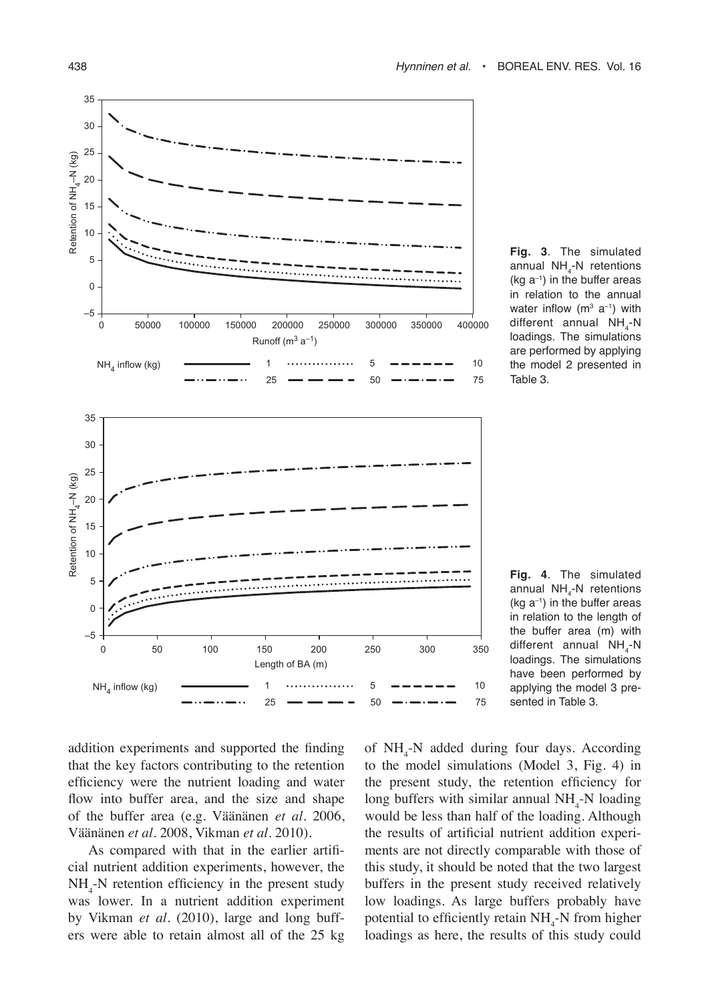30 25 Retention of NH<sub>4</sub>-N (kg) Retention of NH4–N (kg) 20 15 10 5 0 –5 0 50000 100000 150000 200000 250000 300000 350000 400000 Runoff  $(m^3 a^{-1})$  $NH_4$  inflow (kg) 1 ……………… 5 ------ 10 25 <del>— — — –</del> 50 <del>— — — —</del> 75 35 30 25 Retention of NH<sub>4</sub>-N (kg) Retention of NH4–N (kg) 20 15 10 5  $\mathsf{C}$ –5 0 50 100 150 200 250 300 350 Length of BA (m)  $NH_{4}$  inflow (kg) 1 ……………… 5 <del>------</del> 10  $25$  <del>- - -</del> - 50 ------ 75



**Fig. 4**. The simulated annual NH<sub>4</sub>-N retentions (kg  $a^{-1}$ ) in the buffer areas in relation to the length of the buffer area (m) with different annual  $NH_{4}$ -N loadings. The simulations have been performed by applying the model 3 presented in Table 3.

addition experiments and supported the finding that the key factors contributing to the retention efficiency were the nutrient loading and water flow into buffer area, and the size and shape of the buffer area (e.g. Väänänen *et al.* 2006, Väänänen *et al.* 2008, Vikman *et al.* 2010).

As compared with that in the earlier artificial nutrient addition experiments, however, the  $NH_{4}$ -N retention efficiency in the present study was lower. In a nutrient addition experiment by Vikman *et al.* (2010), large and long buffers were able to retain almost all of the 25 kg

of  $NH_{4}$ -N added during four days. According to the model simulations (Model 3, Fig. 4) in the present study, the retention efficiency for long buffers with similar annual  $NH_{4}$ -N loading would be less than half of the loading. Although the results of artificial nutrient addition experiments are not directly comparable with those of this study, it should be noted that the two largest buffers in the present study received relatively low loadings. As large buffers probably have potential to efficiently retain  $NH<sub>4</sub>$ -N from higher loadings as here, the results of this study could

35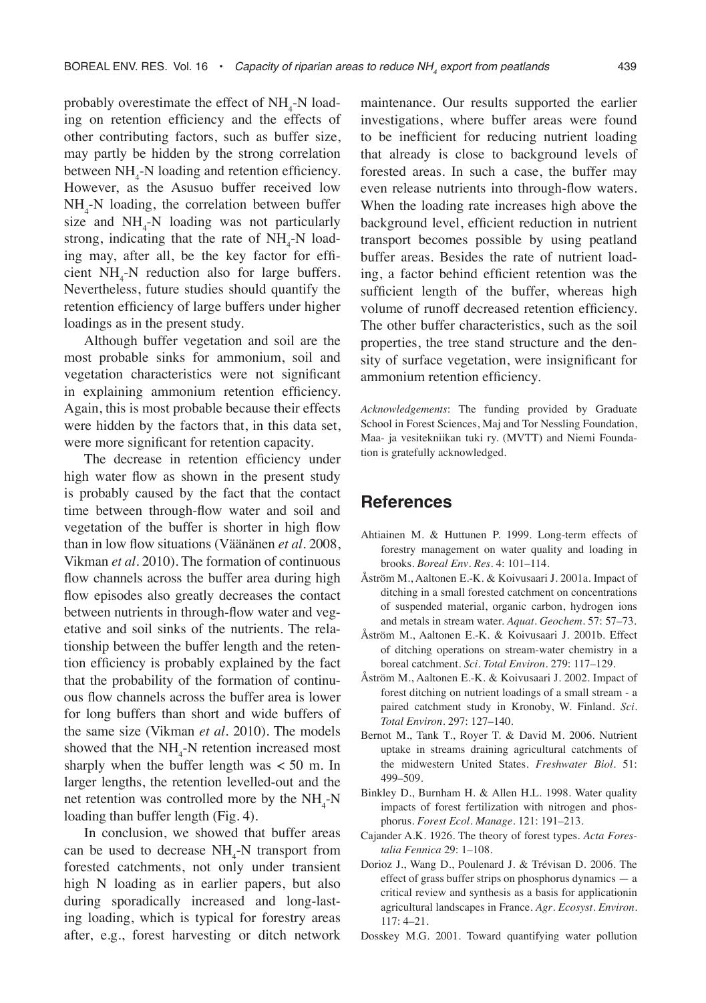probably overestimate the effect of  $NH_{4}$ -N loading on retention efficiency and the effects of other contributing factors, such as buffer size, may partly be hidden by the strong correlation between  $NH_{4}$ -N loading and retention efficiency. However, as the Asusuo buffer received low  $NH_{4}$ -N loading, the correlation between buffer size and  $NH_{4}$ -N loading was not particularly strong, indicating that the rate of  $NH_{4}$ -N loading may, after all, be the key factor for efficient  $NH_{4}$ -N reduction also for large buffers. Nevertheless, future studies should quantify the retention efficiency of large buffers under higher loadings as in the present study.

Although buffer vegetation and soil are the most probable sinks for ammonium, soil and vegetation characteristics were not significant in explaining ammonium retention efficiency. Again, this is most probable because their effects were hidden by the factors that, in this data set, were more significant for retention capacity.

The decrease in retention efficiency under high water flow as shown in the present study is probably caused by the fact that the contact time between through-flow water and soil and vegetation of the buffer is shorter in high flow than in low flow situations (Väänänen *et al.* 2008, Vikman *et al.* 2010). The formation of continuous flow channels across the buffer area during high flow episodes also greatly decreases the contact between nutrients in through-flow water and vegetative and soil sinks of the nutrients. The relationship between the buffer length and the retention efficiency is probably explained by the fact that the probability of the formation of continuous flow channels across the buffer area is lower for long buffers than short and wide buffers of the same size (Vikman *et al.* 2010). The models showed that the  $NH_{4}$ -N retention increased most sharply when the buffer length was < 50 m. In larger lengths, the retention levelled-out and the net retention was controlled more by the  $NH_{4}$ -N loading than buffer length (Fig. 4).

In conclusion, we showed that buffer areas can be used to decrease  $NH<sub>4</sub>$ -N transport from forested catchments, not only under transient high N loading as in earlier papers, but also during sporadically increased and long-lasting loading, which is typical for forestry areas after, e.g., forest harvesting or ditch network

maintenance. Our results supported the earlier investigations, where buffer areas were found to be inefficient for reducing nutrient loading that already is close to background levels of forested areas. In such a case, the buffer may even release nutrients into through-flow waters. When the loading rate increases high above the background level, efficient reduction in nutrient transport becomes possible by using peatland buffer areas. Besides the rate of nutrient loading, a factor behind efficient retention was the sufficient length of the buffer, whereas high volume of runoff decreased retention efficiency. The other buffer characteristics, such as the soil properties, the tree stand structure and the density of surface vegetation, were insignificant for ammonium retention efficiency.

*Acknowledgements*: The funding provided by Graduate School in Forest Sciences, Maj and Tor Nessling Foundation, Maa- ja vesitekniikan tuki ry. (MVTT) and Niemi Foundation is gratefully acknowledged.

## **References**

- Ahtiainen M. & Huttunen P. 1999. Long-term effects of forestry management on water quality and loading in brooks. *Bor*e*al Env*. *Res*. 4: 101–114.
- Åström M., Aaltonen E.-K. & Koivusaari J. 2001a. Impact of ditching in a small forested catchment on concentrations of suspended material, organic carbon, hydrogen ions and metals in stream water. *Aquat*. *Geochem*. 57: 57–73.
- Åström M., Aaltonen E.-K. & Koivusaari J. 2001b. Effect of ditching operations on stream-water chemistry in a boreal catchment. *Sci. Total Environ*. 279: 117–129.
- Åström M., Aaltonen E.-K. & Koivusaari J. 2002. Impact of forest ditching on nutrient loadings of a small stream - a paired catchment study in Kronoby, W. Finland. *Sci. Total Environ*. 297: 127–140.
- Bernot M., Tank T., Royer T. & David M. 2006. Nutrient uptake in streams draining agricultural catchments of the midwestern United States. *Freshwater Biol*. 51: 499–509.
- Binkley D., Burnham H. & Allen H.L. 1998. Water quality impacts of forest fertilization with nitrogen and phosphorus. *Forest Ecol*. *Manage*. 121: 191–213.
- Cajander A.K. 1926. The theory of forest types. *Acta Forestalia Fennica* 29: 1–108.
- Dorioz J., Wang D., Poulenard J. & Trévisan D. 2006. The effect of grass buffer strips on phosphorus dynamics — a critical review and synthesis as a basis for applicationin agricultural landscapes in France. *Agr*. *Ecosyst*. *Environ.* 117: 4–21.
- Dosskey M.G. 2001. Toward quantifying water pollution